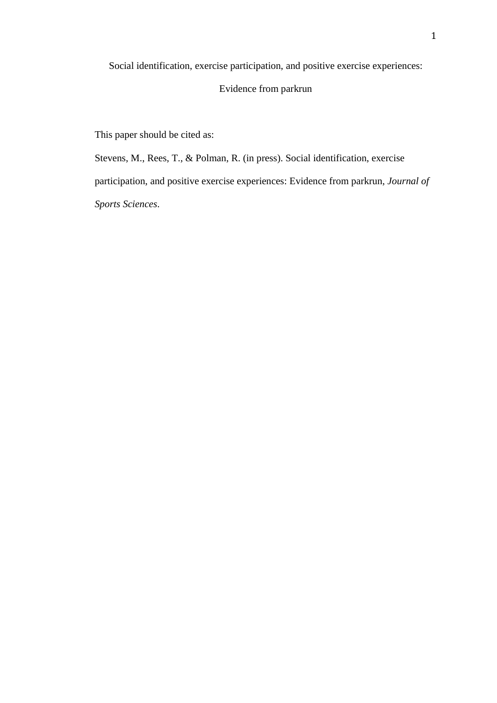Social identification, exercise participation, and positive exercise experiences:

## Evidence from parkrun

This paper should be cited as:

Stevens, M., Rees, T., & Polman, R. (in press). Social identification, exercise participation, and positive exercise experiences: Evidence from parkrun, *Journal of Sports Sciences*.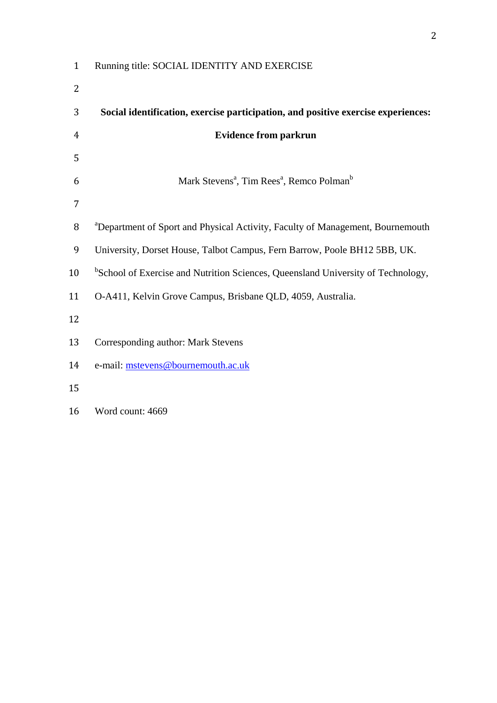| $\mathbf{1}$   | Running title: SOCIAL IDENTITY AND EXERCISE                                                  |
|----------------|----------------------------------------------------------------------------------------------|
| $\overline{2}$ |                                                                                              |
| 3              | Social identification, exercise participation, and positive exercise experiences:            |
| $\overline{4}$ | <b>Evidence from parkrun</b>                                                                 |
| 5              |                                                                                              |
| 6              | Mark Stevens <sup>a</sup> , Tim Rees <sup>a</sup> , Remco Polman <sup>b</sup>                |
| 7              |                                                                                              |
| 8              | <sup>a</sup> Department of Sport and Physical Activity, Faculty of Management, Bournemouth   |
| 9              | University, Dorset House, Talbot Campus, Fern Barrow, Poole BH12 5BB, UK.                    |
| 10             | <sup>b</sup> School of Exercise and Nutrition Sciences, Queensland University of Technology, |
| 11             | O-A411, Kelvin Grove Campus, Brisbane QLD, 4059, Australia.                                  |
| 12             |                                                                                              |
| 13             | Corresponding author: Mark Stevens                                                           |
| 14             | e-mail: mstevens@bournemouth.ac.uk                                                           |
| 15             |                                                                                              |
| 16             | Word count: 4669                                                                             |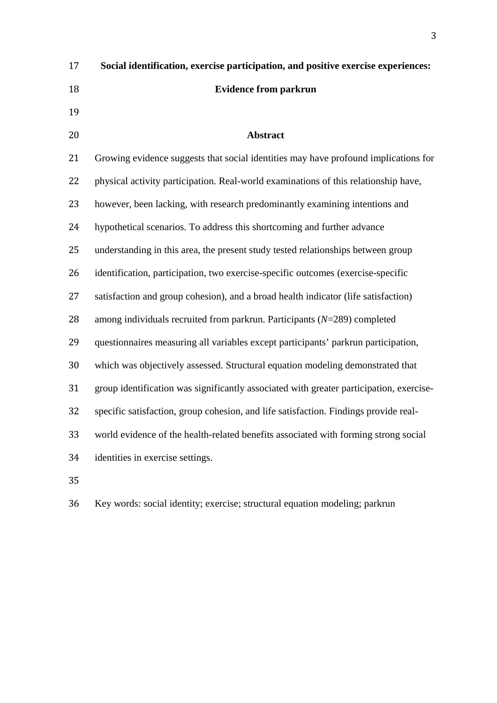| 17 | Social identification, exercise participation, and positive exercise experiences:       |
|----|-----------------------------------------------------------------------------------------|
| 18 | <b>Evidence from parkrun</b>                                                            |
| 19 |                                                                                         |
| 20 | <b>Abstract</b>                                                                         |
| 21 | Growing evidence suggests that social identities may have profound implications for     |
| 22 | physical activity participation. Real-world examinations of this relationship have,     |
| 23 | however, been lacking, with research predominantly examining intentions and             |
| 24 | hypothetical scenarios. To address this shortcoming and further advance                 |
| 25 | understanding in this area, the present study tested relationships between group        |
| 26 | identification, participation, two exercise-specific outcomes (exercise-specific        |
| 27 | satisfaction and group cohesion), and a broad health indicator (life satisfaction)      |
| 28 | among individuals recruited from parkrun. Participants $(N=289)$ completed              |
| 29 | questionnaires measuring all variables except participants' parkrun participation,      |
| 30 | which was objectively assessed. Structural equation modeling demonstrated that          |
| 31 | group identification was significantly associated with greater participation, exercise- |
| 32 | specific satisfaction, group cohesion, and life satisfaction. Findings provide real-    |
| 33 | world evidence of the health-related benefits associated with forming strong social     |
| 34 | identities in exercise settings.                                                        |
| 35 |                                                                                         |

Key words: social identity; exercise; structural equation modeling; parkrun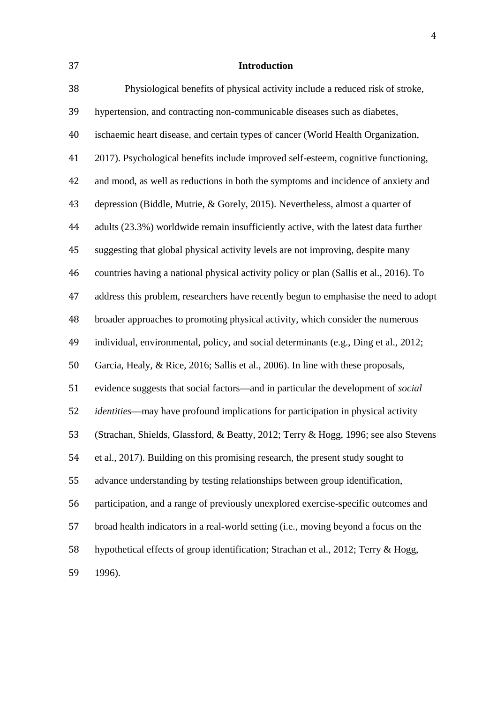# **Introduction**

| 38 | Physiological benefits of physical activity include a reduced risk of stroke,          |
|----|----------------------------------------------------------------------------------------|
| 39 | hypertension, and contracting non-communicable diseases such as diabetes,              |
| 40 | ischaemic heart disease, and certain types of cancer (World Health Organization,       |
| 41 | 2017). Psychological benefits include improved self-esteem, cognitive functioning,     |
| 42 | and mood, as well as reductions in both the symptoms and incidence of anxiety and      |
| 43 | depression (Biddle, Mutrie, & Gorely, 2015). Nevertheless, almost a quarter of         |
| 44 | adults (23.3%) worldwide remain insufficiently active, with the latest data further    |
| 45 | suggesting that global physical activity levels are not improving, despite many        |
| 46 | countries having a national physical activity policy or plan (Sallis et al., 2016). To |
| 47 | address this problem, researchers have recently begun to emphasise the need to adopt   |
| 48 | broader approaches to promoting physical activity, which consider the numerous         |
| 49 | individual, environmental, policy, and social determinants (e.g., Ding et al., 2012;   |
| 50 | Garcia, Healy, & Rice, 2016; Sallis et al., 2006). In line with these proposals,       |
| 51 | evidence suggests that social factors-and in particular the development of social      |
| 52 | identities—may have profound implications for participation in physical activity       |
| 53 | (Strachan, Shields, Glassford, & Beatty, 2012; Terry & Hogg, 1996; see also Stevens    |
| 54 | et al., 2017). Building on this promising research, the present study sought to        |
| 55 | advance understanding by testing relationships between group identification,           |
| 56 | participation, and a range of previously unexplored exercise-specific outcomes and     |
| 57 | broad health indicators in a real-world setting (i.e., moving beyond a focus on the    |
| 58 | hypothetical effects of group identification; Strachan et al., 2012; Terry & Hogg,     |
| 59 | 1996).                                                                                 |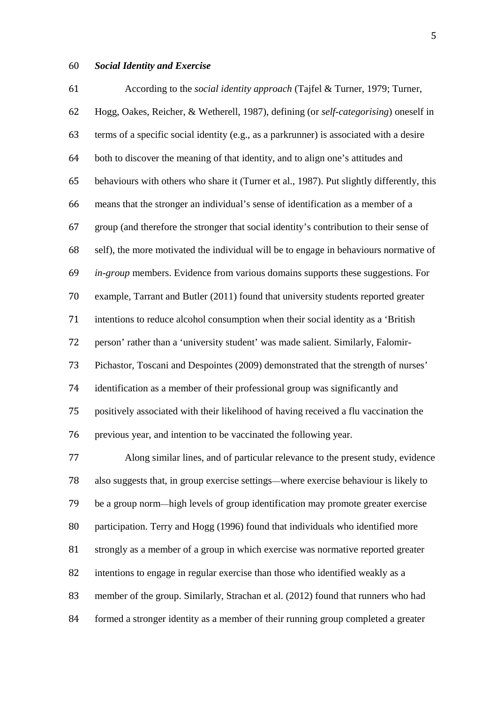#### *Social Identity and Exercise*

 According to the *social identity approach* (Tajfel & Turner, 1979; Turner, Hogg, Oakes, Reicher, & Wetherell, 1987), defining (or *self-categorising*) oneself in terms of a specific social identity (e.g., as a parkrunner) is associated with a desire both to discover the meaning of that identity, and to align one's attitudes and behaviours with others who share it (Turner et al., 1987). Put slightly differently, this means that the stronger an individual's sense of identification as a member of a group (and therefore the stronger that social identity's contribution to their sense of self), the more motivated the individual will be to engage in behaviours normative of *in-group* members. Evidence from various domains supports these suggestions. For example, Tarrant and Butler (2011) found that university students reported greater intentions to reduce alcohol consumption when their social identity as a 'British person' rather than a 'university student' was made salient. Similarly, Falomir- Pichastor, Toscani and Despointes (2009) demonstrated that the strength of nurses' identification as a member of their professional group was significantly and positively associated with their likelihood of having received a flu vaccination the previous year, and intention to be vaccinated the following year.

 Along similar lines, and of particular relevance to the present study, evidence also suggests that, in group exercise settings—where exercise behaviour is likely to be a group norm—high levels of group identification may promote greater exercise participation. Terry and Hogg (1996) found that individuals who identified more strongly as a member of a group in which exercise was normative reported greater intentions to engage in regular exercise than those who identified weakly as a member of the group. Similarly, Strachan et al. (2012) found that runners who had formed a stronger identity as a member of their running group completed a greater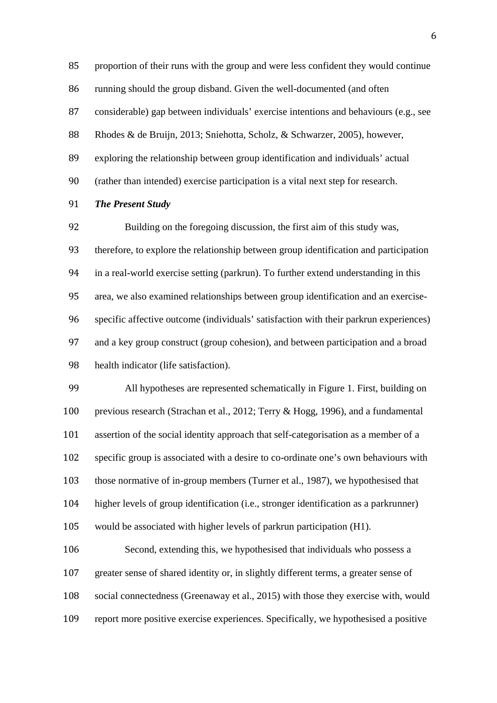proportion of their runs with the group and were less confident they would continue running should the group disband. Given the well-documented (and often considerable) gap between individuals' exercise intentions and behaviours (e.g., see Rhodes & de Bruijn, 2013; Sniehotta, Scholz, & Schwarzer, 2005), however, exploring the relationship between group identification and individuals' actual (rather than intended) exercise participation is a vital next step for research.

*The Present Study*

 Building on the foregoing discussion, the first aim of this study was, therefore, to explore the relationship between group identification and participation in a real-world exercise setting (parkrun). To further extend understanding in this area, we also examined relationships between group identification and an exercise- specific affective outcome (individuals' satisfaction with their parkrun experiences) and a key group construct (group cohesion), and between participation and a broad health indicator (life satisfaction).

 All hypotheses are represented schematically in Figure 1. First, building on previous research (Strachan et al., 2012; Terry & Hogg, 1996), and a fundamental assertion of the social identity approach that self-categorisation as a member of a specific group is associated with a desire to co-ordinate one's own behaviours with those normative of in-group members (Turner et al., 1987), we hypothesised that higher levels of group identification (i.e., stronger identification as a parkrunner) would be associated with higher levels of parkrun participation (H1).

 Second, extending this, we hypothesised that individuals who possess a greater sense of shared identity or, in slightly different terms, a greater sense of social connectedness (Greenaway et al., 2015) with those they exercise with, would report more positive exercise experiences. Specifically, we hypothesised a positive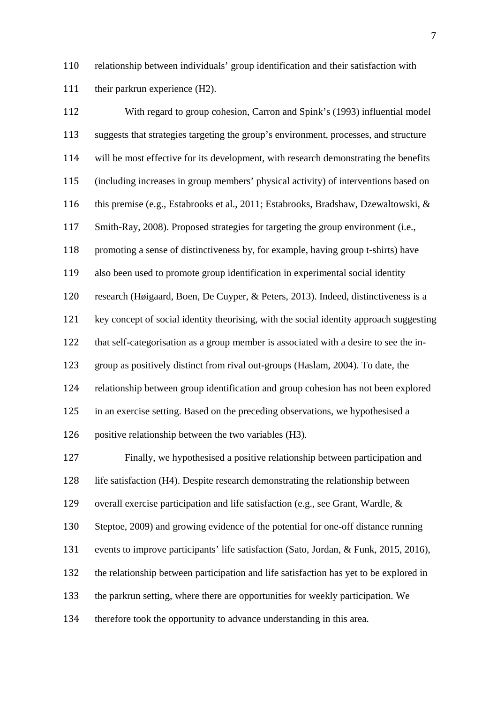relationship between individuals' group identification and their satisfaction with 111 their parkrun experience (H2).

 With regard to group cohesion, Carron and Spink's (1993) influential model suggests that strategies targeting the group's environment, processes, and structure will be most effective for its development, with research demonstrating the benefits (including increases in group members' physical activity) of interventions based on this premise (e.g., Estabrooks et al., 2011; Estabrooks, Bradshaw, Dzewaltowski, & Smith-Ray, 2008). Proposed strategies for targeting the group environment (i.e., promoting a sense of distinctiveness by, for example, having group t-shirts) have also been used to promote group identification in experimental social identity research (Høigaard, Boen, De Cuyper, & Peters, 2013). Indeed, distinctiveness is a key concept of social identity theorising, with the social identity approach suggesting that self-categorisation as a group member is associated with a desire to see the in- group as positively distinct from rival out-groups (Haslam, 2004). To date, the relationship between group identification and group cohesion has not been explored in an exercise setting. Based on the preceding observations, we hypothesised a positive relationship between the two variables (H3). Finally, we hypothesised a positive relationship between participation and life satisfaction (H4). Despite research demonstrating the relationship between overall exercise participation and life satisfaction (e.g., see Grant, Wardle, & Steptoe, 2009) and growing evidence of the potential for one-off distance running events to improve participants' life satisfaction (Sato, Jordan, & Funk, 2015, 2016), the relationship between participation and life satisfaction has yet to be explored in

the parkrun setting, where there are opportunities for weekly participation. We

therefore took the opportunity to advance understanding in this area.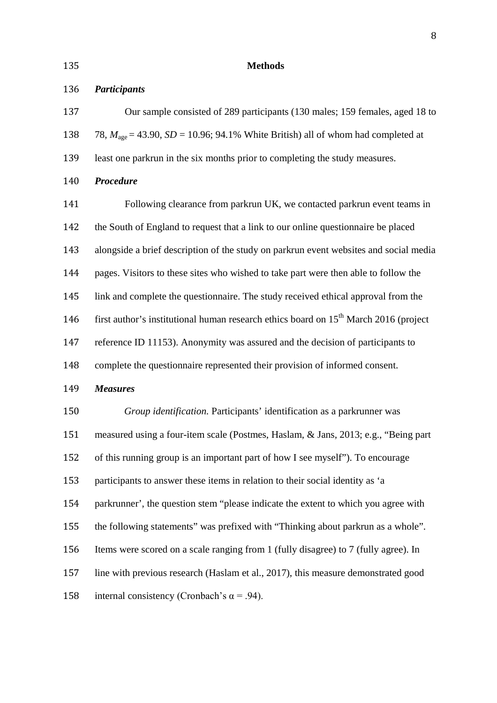#### **Methods**

#### *Participants*

| 137 | Our sample consisted of 289 participants (130 males; 159 females, aged 18 to                    |
|-----|-------------------------------------------------------------------------------------------------|
| 138 | 78, $M_{\text{age}} = 43.90$ , $SD = 10.96$ ; 94.1% White British) all of whom had completed at |

- least one parkrun in the six months prior to completing the study measures.
- *Procedure*

 Following clearance from parkrun UK, we contacted parkrun event teams in the South of England to request that a link to our online questionnaire be placed alongside a brief description of the study on parkrun event websites and social media pages. Visitors to these sites who wished to take part were then able to follow the link and complete the questionnaire. The study received ethical approval from the 146 first author's institutional human research ethics board on  $15<sup>th</sup>$  March 2016 (project reference ID 11153). Anonymity was assured and the decision of participants to complete the questionnaire represented their provision of informed consent. *Measures Group identification.* Participants' identification as a parkrunner was measured using a four-item scale (Postmes, Haslam, & Jans, 2013; e.g., "Being part of this running group is an important part of how I see myself"). To encourage participants to answer these items in relation to their social identity as 'a parkrunner', the question stem "please indicate the extent to which you agree with the following statements" was prefixed with "Thinking about parkrun as a whole". Items were scored on a scale ranging from 1 (fully disagree) to 7 (fully agree). In line with previous research (Haslam et al., 2017), this measure demonstrated good

158 internal consistency (Cronbach's  $\alpha$  = .94).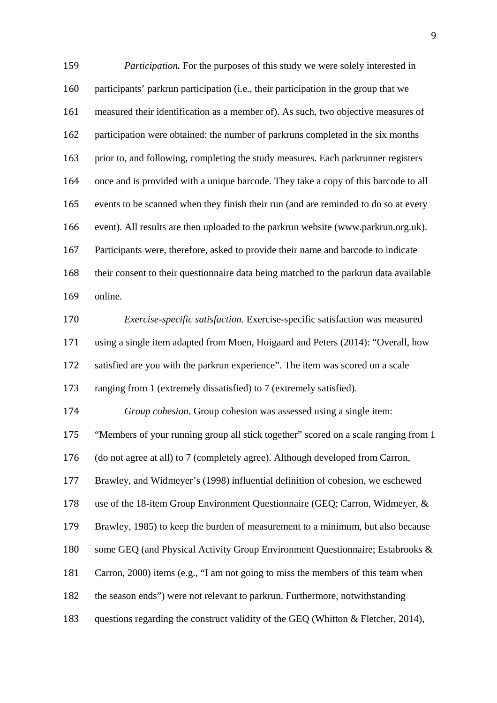*Participation.* For the purposes of this study we were solely interested in participants' parkrun participation (i.e., their participation in the group that we measured their identification as a member of). As such, two objective measures of participation were obtained: the number of parkruns completed in the six months prior to, and following, completing the study measures. Each parkrunner registers once and is provided with a unique barcode. They take a copy of this barcode to all events to be scanned when they finish their run (and are reminded to do so at every event). All results are then uploaded to the parkrun website (www.parkrun.org.uk). Participants were, therefore, asked to provide their name and barcode to indicate their consent to their questionnaire data being matched to the parkrun data available online. *Exercise-specific satisfaction.* Exercise-specific satisfaction was measured using a single item adapted from Moen, Hoigaard and Peters (2014): "Overall, how satisfied are you with the parkrun experience". The item was scored on a scale ranging from 1 (extremely dissatisfied) to 7 (extremely satisfied). *Group cohesion*. Group cohesion was assessed using a single item: "Members of your running group all stick together" scored on a scale ranging from 1 (do not agree at all) to 7 (completely agree). Although developed from Carron, Brawley, and Widmeyer's (1998) influential definition of cohesion, we eschewed use of the 18-item Group Environment Questionnaire (GEQ; Carron, Widmeyer, & Brawley, 1985) to keep the burden of measurement to a minimum, but also because 180 some GEQ (and Physical Activity Group Environment Questionnaire; Estabrooks & Carron, 2000) items (e.g., "I am not going to miss the members of this team when the season ends") were not relevant to parkrun. Furthermore, notwithstanding questions regarding the construct validity of the GEQ (Whitton & Fletcher, 2014),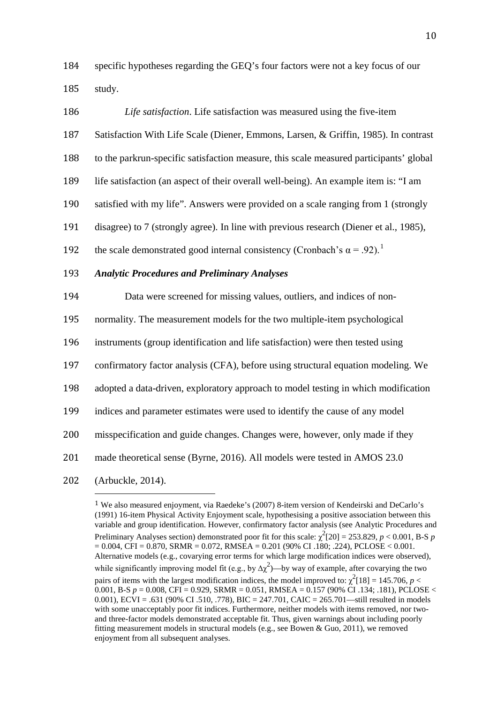184 specific hypotheses regarding the GEQ's four factors were not a key focus of our 185 study.

| 186 | Life satisfaction. Life satisfaction was measured using the five-item                      |
|-----|--------------------------------------------------------------------------------------------|
| 187 | Satisfaction With Life Scale (Diener, Emmons, Larsen, & Griffin, 1985). In contrast        |
| 188 | to the parkrun-specific satisfaction measure, this scale measured participants' global     |
| 189 | life satisfaction (an aspect of their overall well-being). An example item is: "I am       |
| 190 | satisfied with my life". Answers were provided on a scale ranging from 1 (strongly         |
| 191 | disagree) to 7 (strongly agree). In line with previous research (Diener et al., 1985),     |
| 192 | the scale demonstrated good internal consistency (Cronbach's $\alpha$ = .92). <sup>1</sup> |
| 193 | <b>Analytic Procedures and Preliminary Analyses</b>                                        |
| 194 | Data were screened for missing values, outliers, and indices of non-                       |
| 195 | normality. The measurement models for the two multiple-item psychological                  |
| 196 | instruments (group identification and life satisfaction) were then tested using            |
| 197 | confirmatory factor analysis (CFA), before using structural equation modeling. We          |
| 198 | adopted a data-driven, exploratory approach to model testing in which modification         |
| 199 | indices and parameter estimates were used to identify the cause of any model               |
| 200 | misspecification and guide changes. Changes were, however, only made if they               |
| 201 | made theoretical sense (Byrne, 2016). All models were tested in AMOS 23.0                  |
| 202 | (Arbuckle, 2014).                                                                          |

<span id="page-9-0"></span> <sup>1</sup> We also measured enjoyment, via Raedeke's (2007) 8-item version of Kendeirski and DeCarlo's (1991) 16-item Physical Activity Enjoyment scale, hypothesising a positive association between this variable and group identification. However, confirmatory factor analysis (see Analytic Procedures and Preliminary Analyses section) demonstrated poor fit for this scale:  $\chi^2[20] = 253.829$ ,  $p < 0.001$ , B-S  $p$  $= 0.004$ , CFI = 0.870, SRMR = 0.072, RMSEA = 0.201 (90% CI .180; .224), PCLOSE < 0.001. Alternative models (e.g., covarying error terms for which large modification indices were observed), while significantly improving model fit (e.g., by  $\Delta \chi^2$ )—by way of example, after covarying the two pairs of items with the largest modification indices, the model improved to:  $\chi^2[18] = 145.706$ ,  $p <$ 0.001, B-S *p* = 0.008, CFI = 0.929, SRMR = 0.051, RMSEA = 0.157 (90% CI .134; .181), PCLOSE < 0.001), ECVI = .631 (90% CI .510, .778), BIC = 247.701, CAIC = 265.701—still resulted in models with some unacceptably poor fit indices. Furthermore, neither models with items removed, nor twoand three-factor models demonstrated acceptable fit. Thus, given warnings about including poorly fitting measurement models in structural models (e.g., see Bowen & Guo, 2011), we removed enjoyment from all subsequent analyses.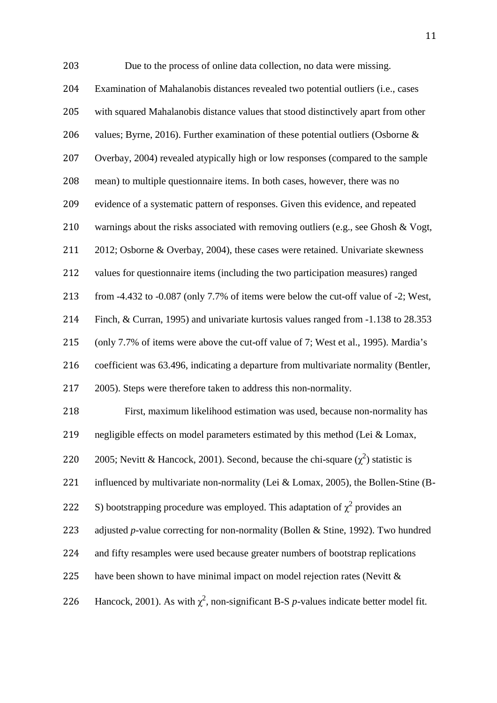| 203 | Due to the process of online data collection, no data were missing.                        |
|-----|--------------------------------------------------------------------------------------------|
| 204 | Examination of Mahalanobis distances revealed two potential outliers (i.e., cases          |
| 205 | with squared Mahalanobis distance values that stood distinctively apart from other         |
| 206 | values; Byrne, 2016). Further examination of these potential outliers (Osborne $\&$        |
| 207 | Overbay, 2004) revealed atypically high or low responses (compared to the sample           |
| 208 | mean) to multiple questionnaire items. In both cases, however, there was no                |
| 209 | evidence of a systematic pattern of responses. Given this evidence, and repeated           |
| 210 | warnings about the risks associated with removing outliers (e.g., see Ghosh & Vogt,        |
| 211 | 2012; Osborne & Overbay, 2004), these cases were retained. Univariate skewness             |
| 212 | values for questionnaire items (including the two participation measures) ranged           |
| 213 | from -4.432 to -0.087 (only 7.7% of items were below the cut-off value of -2; West,        |
| 214 | Finch, & Curran, 1995) and univariate kurtosis values ranged from -1.138 to 28.353         |
| 215 | (only 7.7% of items were above the cut-off value of 7; West et al., 1995). Mardia's        |
| 216 | coefficient was 63.496, indicating a departure from multivariate normality (Bentler,       |
| 217 | 2005). Steps were therefore taken to address this non-normality.                           |
| 218 | First, maximum likelihood estimation was used, because non-normality has                   |
| 219 | negligible effects on model parameters estimated by this method (Lei & Lomax,              |
| 220 | 2005; Nevitt & Hancock, 2001). Second, because the chi-square $(\chi^2)$ statistic is      |
| 221 | influenced by multivariate non-normality (Lei & Lomax, 2005), the Bollen-Stine (B-         |
| 222 | S) bootstrapping procedure was employed. This adaptation of $\chi^2$ provides an           |
| 223 | adjusted p-value correcting for non-normality (Bollen & Stine, 1992). Two hundred          |
| 224 | and fifty resamples were used because greater numbers of bootstrap replications            |
| 225 | have been shown to have minimal impact on model rejection rates (Nevitt &                  |
| 226 | Hancock, 2001). As with $\chi^2$ , non-significant B-S p-values indicate better model fit. |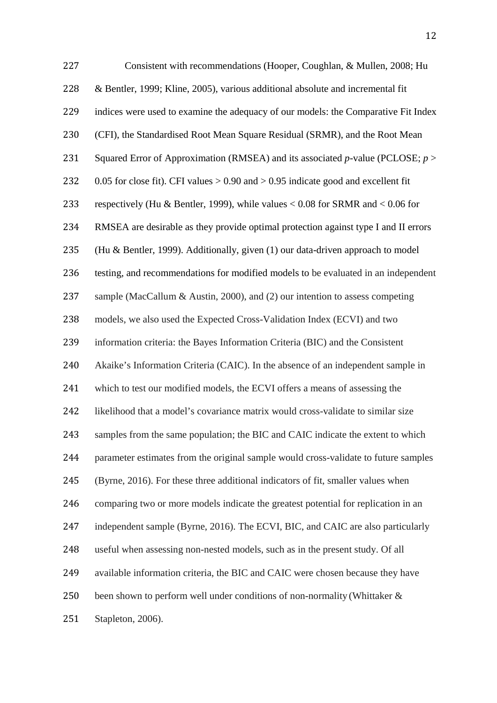| 227 | Consistent with recommendations (Hooper, Coughlan, & Mullen, 2008; Hu                 |
|-----|---------------------------------------------------------------------------------------|
| 228 | & Bentler, 1999; Kline, 2005), various additional absolute and incremental fit        |
| 229 | indices were used to examine the adequacy of our models: the Comparative Fit Index    |
| 230 | (CFI), the Standardised Root Mean Square Residual (SRMR), and the Root Mean           |
| 231 | Squared Error of Approximation (RMSEA) and its associated $p$ -value (PCLOSE; $p >$   |
| 232 | 0.05 for close fit). CFI values $> 0.90$ and $> 0.95$ indicate good and excellent fit |
| 233 | respectively (Hu & Bentler, 1999), while values $< 0.08$ for SRMR and $< 0.06$ for    |
| 234 | RMSEA are desirable as they provide optimal protection against type I and II errors   |
| 235 | (Hu & Bentler, 1999). Additionally, given (1) our data-driven approach to model       |
| 236 | testing, and recommendations for modified models to be evaluated in an independent    |
| 237 | sample (MacCallum & Austin, 2000), and (2) our intention to assess competing          |
| 238 | models, we also used the Expected Cross-Validation Index (ECVI) and two               |
| 239 | information criteria: the Bayes Information Criteria (BIC) and the Consistent         |
| 240 | Akaike's Information Criteria (CAIC). In the absence of an independent sample in      |
| 241 | which to test our modified models, the ECVI offers a means of assessing the           |
| 242 | likelihood that a model's covariance matrix would cross-validate to similar size      |
| 243 | samples from the same population; the BIC and CAIC indicate the extent to which       |
| 244 | parameter estimates from the original sample would cross-validate to future samples   |
| 245 | (Byrne, 2016). For these three additional indicators of fit, smaller values when      |
| 246 | comparing two or more models indicate the greatest potential for replication in an    |
| 247 | independent sample (Byrne, 2016). The ECVI, BIC, and CAIC are also particularly       |
| 248 | useful when assessing non-nested models, such as in the present study. Of all         |
| 249 | available information criteria, the BIC and CAIC were chosen because they have        |
| 250 | been shown to perform well under conditions of non-normality (Whittaker &             |
| 251 | Stapleton, 2006).                                                                     |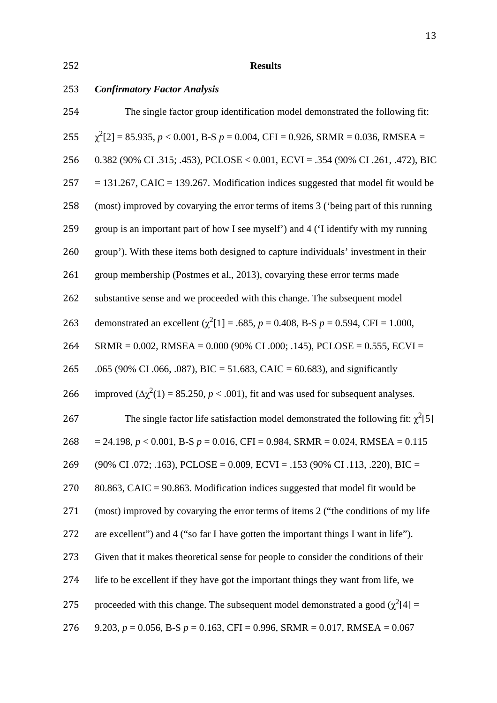**Results**

# *Confirmatory Factor Analysis*

| 254 | The single factor group identification model demonstrated the following fit:                 |
|-----|----------------------------------------------------------------------------------------------|
| 255 | $\chi^2$ [2] = 85.935, p < 0.001, B-S p = 0.004, CFI = 0.926, SRMR = 0.036, RMSEA =          |
| 256 | 0.382 (90% CI .315; .453), PCLOSE < 0.001, ECVI = .354 (90% CI .261, .472), BIC              |
| 257 | $= 131.267$ , CAIC = 139.267. Modification indices suggested that model fit would be         |
| 258 | (most) improved by covarying the error terms of items 3 ('being part of this running         |
| 259 | group is an important part of how I see myself') and 4 ('I identify with my running          |
| 260 | group'). With these items both designed to capture individuals' investment in their          |
| 261 | group membership (Postmes et al., 2013), covarying these error terms made                    |
| 262 | substantive sense and we proceeded with this change. The subsequent model                    |
| 263 | demonstrated an excellent $\chi^2[1] = .685$ , $p = 0.408$ , B-S $p = 0.594$ , CFI = 1.000,  |
| 264 | SRMR = $0.002$ , RMSEA = $0.000$ (90% CI .000; .145), PCLOSE = $0.555$ , ECVI =              |
| 265 | .065 (90% CI .066, .087), BIC = 51.683, CAIC = 60.683), and significantly                    |
| 266 | improved $(\Delta \chi^2(1) = 85.250, p < .001)$ , fit and was used for subsequent analyses. |
| 267 | The single factor life satisfaction model demonstrated the following fit: $\chi^2[5]$        |
| 268 | $= 24.198, p < 0.001, B-S p = 0.016, CFI = 0.984, SRMR = 0.024, RMSEA = 0.115$               |
| 269 | $(90\% \text{ CI } .072; .163)$ , PCLOSE = 0.009, ECVI = .153 (90% CI .113, .220), BIC =     |
| 270 | $80.863$ , CAIC = 90.863. Modification indices suggested that model fit would be             |
| 271 | (most) improved by covarying the error terms of items 2 ("the conditions of my life          |
| 272 | are excellent") and 4 ("so far I have gotten the important things I want in life").          |
| 273 | Given that it makes theoretical sense for people to consider the conditions of their         |
| 274 | life to be excellent if they have got the important things they want from life, we           |
| 275 | proceeded with this change. The subsequent model demonstrated a good $(\chi^2[4]$ =          |
| 276 | 9.203, $p = 0.056$ , B-S $p = 0.163$ , CFI = 0.996, SRMR = 0.017, RMSEA = 0.067              |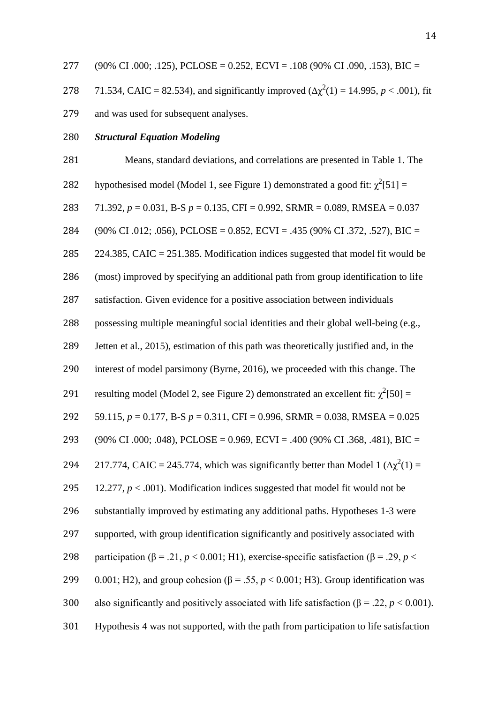278 71.534, CAIC = 82.534), and significantly improved  $(\Delta \chi^2(1) = 14.995, p < .001)$ , fit and was used for subsequent analyses.

#### *Structural Equation Modeling*

 Means, standard deviations, and correlations are presented in Table 1. The 282 hypothesised model (Model 1, see Figure 1) demonstrated a good fit:  $\chi^2$ [51] = 71.392, *p* = 0.031, B-S *p* = 0.135, CFI = 0.992, SRMR = 0.089, RMSEA = 0.037 (90% CI .012; .056), PCLOSE = 0.852, ECVI = .435 (90% CI .372, .527), BIC = 224.385, CAIC = 251.385. Modification indices suggested that model fit would be (most) improved by specifying an additional path from group identification to life satisfaction. Given evidence for a positive association between individuals possessing multiple meaningful social identities and their global well-being (e.g., Jetten et al., 2015), estimation of this path was theoretically justified and, in the interest of model parsimony (Byrne, 2016), we proceeded with this change. The resulting model (Model 2, see Figure 2) demonstrated an excellent fit:  $\chi^2$ [50] = 59.115, *p* = 0.177, B-S *p* = 0.311, CFI = 0.996, SRMR = 0.038, RMSEA = 0.025 (90% CI .000; .048), PCLOSE = 0.969, ECVI = .400 (90% CI .368, .481), BIC = 294 217.774, CAIC = 245.774, which was significantly better than Model 1 ( $\Delta \chi^2(1)$  = 12.277, *p* < .001). Modification indices suggested that model fit would not be substantially improved by estimating any additional paths. Hypotheses 1-3 were supported, with group identification significantly and positively associated with 298 participation ( $\beta$  = .21, *p* < 0.001; H1), exercise-specific satisfaction ( $\beta$  = .29, *p* < 299 0.001; H2), and group cohesion  $(\beta = .55, p < 0.001; H3)$ . Group identification was 300 also significantly and positively associated with life satisfaction ( $\beta$  = .22, *p* < 0.001). Hypothesis 4 was not supported, with the path from participation to life satisfaction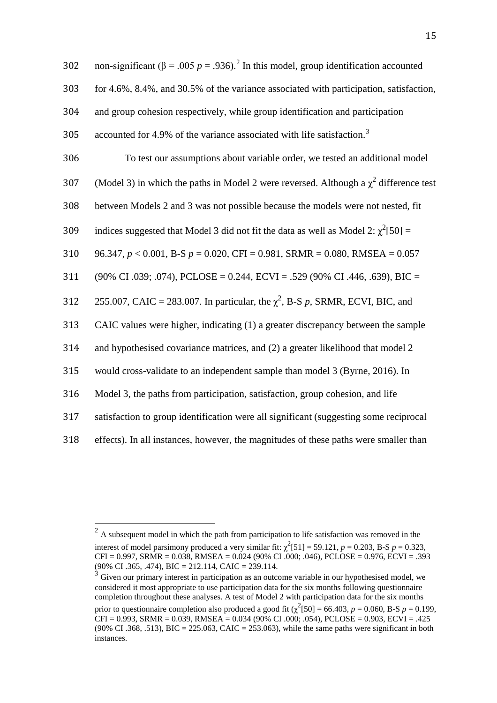| 302 | non-significant ( $\beta$ = .005 $p = .936$ ). <sup>2</sup> In this model, group identification accounted |
|-----|-----------------------------------------------------------------------------------------------------------|
| 303 | for 4.6%, 8.4%, and 30.5% of the variance associated with participation, satisfaction,                    |
| 304 | and group cohesion respectively, while group identification and participation                             |
| 305 | accounted for 4.9% of the variance associated with life satisfaction. <sup>3</sup>                        |
| 306 | To test our assumptions about variable order, we tested an additional model                               |
| 307 | (Model 3) in which the paths in Model 2 were reversed. Although a $\chi^2$ difference test                |
| 308 | between Models 2 and 3 was not possible because the models were not nested, fit                           |
| 309 | indices suggested that Model 3 did not fit the data as well as Model 2: $\chi^2$ [50] =                   |
| 310 | 96.347, $p < 0.001$ , B-S $p = 0.020$ , CFI = 0.981, SRMR = 0.080, RMSEA = 0.057                          |
| 311 | $(90\% \text{ CI } .039; .074)$ , PCLOSE = 0.244, ECVI = .529 (90% CI .446, .639), BIC =                  |
| 312 | 255.007, CAIC = 283.007. In particular, the $\chi^2$ , B-S p, SRMR, ECVI, BIC, and                        |
| 313 | CAIC values were higher, indicating (1) a greater discrepancy between the sample                          |
| 314 | and hypothesised covariance matrices, and (2) a greater likelihood that model 2                           |
| 315 | would cross-validate to an independent sample than model 3 (Byrne, 2016). In                              |
| 316 | Model 3, the paths from participation, satisfaction, group cohesion, and life                             |
| 317 | satisfaction to group identification were all significant (suggesting some reciprocal                     |
| 318 | effects). In all instances, however, the magnitudes of these paths were smaller than                      |

<span id="page-14-1"></span>Given our primary interest in participation as an outcome variable in our hypothesised model, we considered it most appropriate to use participation data for the six months following questionnaire completion throughout these analyses. A test of Model 2 with participation data for the six months prior to questionnaire completion also produced a good fit  $(\chi^2[50] = 66.403, p = 0.060, B-S \, p = 0.199,$ CFI = 0.993, SRMR = 0.039, RMSEA = 0.034 (90% CI .000; .054), PCLOSE = 0.903, ECVI = .425 (90% CI .368, .513), BIC = 225.063, CAIC = 253.063), while the same paths were significant in both instances.

<span id="page-14-0"></span> $2A$  subsequent model in which the path from participation to life satisfaction was removed in the interest of model parsimony produced a very similar fit:  $\chi^2[51] = 59.121$ ,  $p = 0.203$ , B-S  $p = 0.323$ , CFI = 0.997, SRMR = 0.038, RMSEA = 0.024 (90% CI .000; .046), PCLOSE = 0.976, ECVI = .393 (90% CI .365, .474), BIC = 212.114, CAIC = 239.114.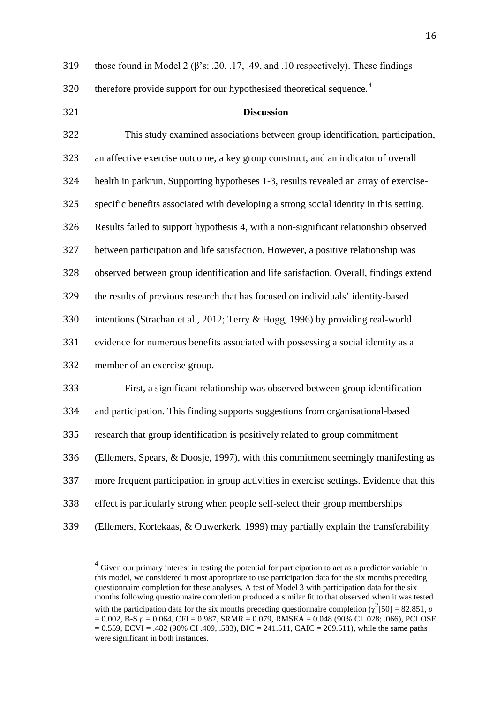| 319 |  |  |  |  |  | those found in Model 2 ( $\beta$ 's: .20, .17, .49, and .10 respectively). These findings |
|-----|--|--|--|--|--|-------------------------------------------------------------------------------------------|
|-----|--|--|--|--|--|-------------------------------------------------------------------------------------------|

320 therefore provide support for our hypothesised theoretical sequence.<sup>[4](#page-15-0)</sup>

#### **Discussion**

| 322 | This study examined associations between group identification, participation,            |
|-----|------------------------------------------------------------------------------------------|
| 323 | an affective exercise outcome, a key group construct, and an indicator of overall        |
| 324 | health in parkrun. Supporting hypotheses 1-3, results revealed an array of exercise-     |
| 325 | specific benefits associated with developing a strong social identity in this setting.   |
| 326 | Results failed to support hypothesis 4, with a non-significant relationship observed     |
| 327 | between participation and life satisfaction. However, a positive relationship was        |
| 328 | observed between group identification and life satisfaction. Overall, findings extend    |
| 329 | the results of previous research that has focused on individuals' identity-based         |
| 330 | intentions (Strachan et al., 2012; Terry & Hogg, 1996) by providing real-world           |
| 331 | evidence for numerous benefits associated with possessing a social identity as a         |
| 332 | member of an exercise group.                                                             |
| 333 | First, a significant relationship was observed between group identification              |
| 334 | and participation. This finding supports suggestions from organisational-based           |
| 335 | research that group identification is positively related to group commitment             |
| 336 | (Ellemers, Spears, & Doosje, 1997), with this commitment seemingly manifesting as        |
| 337 | more frequent participation in group activities in exercise settings. Evidence that this |
| 338 | effect is particularly strong when people self-select their group memberships            |
| 339 | (Ellemers, Kortekaas, & Ouwerkerk, 1999) may partially explain the transferability       |

<span id="page-15-0"></span><sup>&</sup>lt;sup>4</sup> Given our primary interest in testing the potential for participation to act as a predictor variable in this model, we considered it most appropriate to use participation data for the six months preceding questionnaire completion for these analyses. A test of Model 3 with participation data for the six months following questionnaire completion produced a similar fit to that observed when it was tested with the participation data for the six months preceding questionnaire completion  $(\chi^2[50] = 82.851, p$  $= 0.002$ , B-S  $p = 0.064$ , CFI = 0.987, SRMR = 0.079, RMSEA = 0.048 (90% CI .028; .066), PCLOSE  $= 0.559$ , ECVI = .482 (90% CI .409, .583), BIC = 241.511, CAIC = 269.511), while the same paths were significant in both instances.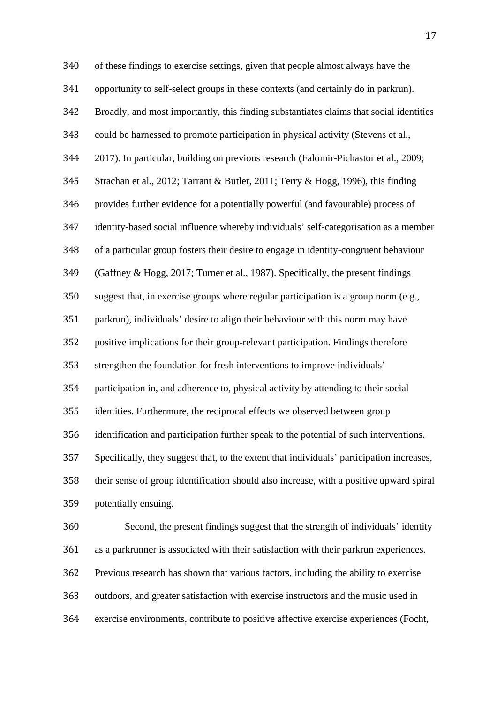| 340 | of these findings to exercise settings, given that people almost always have the          |
|-----|-------------------------------------------------------------------------------------------|
| 341 | opportunity to self-select groups in these contexts (and certainly do in parkrun).        |
| 342 | Broadly, and most importantly, this finding substantiates claims that social identities   |
| 343 | could be harnessed to promote participation in physical activity (Stevens et al.,         |
| 344 | 2017). In particular, building on previous research (Falomir-Pichastor et al., 2009;      |
| 345 | Strachan et al., 2012; Tarrant & Butler, 2011; Terry & Hogg, 1996), this finding          |
| 346 | provides further evidence for a potentially powerful (and favourable) process of          |
| 347 | identity-based social influence whereby individuals' self-categorisation as a member      |
| 348 | of a particular group fosters their desire to engage in identity-congruent behaviour      |
| 349 | (Gaffney & Hogg, 2017; Turner et al., 1987). Specifically, the present findings           |
| 350 | suggest that, in exercise groups where regular participation is a group norm (e.g.,       |
| 351 | parkrun), individuals' desire to align their behaviour with this norm may have            |
| 352 | positive implications for their group-relevant participation. Findings therefore          |
| 353 | strengthen the foundation for fresh interventions to improve individuals'                 |
| 354 | participation in, and adherence to, physical activity by attending to their social        |
| 355 | identities. Furthermore, the reciprocal effects we observed between group                 |
| 356 | identification and participation further speak to the potential of such interventions.    |
| 357 | Specifically, they suggest that, to the extent that individuals' participation increases, |
| 358 | their sense of group identification should also increase, with a positive upward spiral   |
| 359 | potentially ensuing.                                                                      |
| 360 | Second, the present findings suggest that the strength of individuals' identity           |
| 361 | as a parkrunner is associated with their satisfaction with their parkrun experiences.     |
| 362 | Previous research has shown that various factors, including the ability to exercise       |

outdoors, and greater satisfaction with exercise instructors and the music used in

exercise environments, contribute to positive affective exercise experiences (Focht,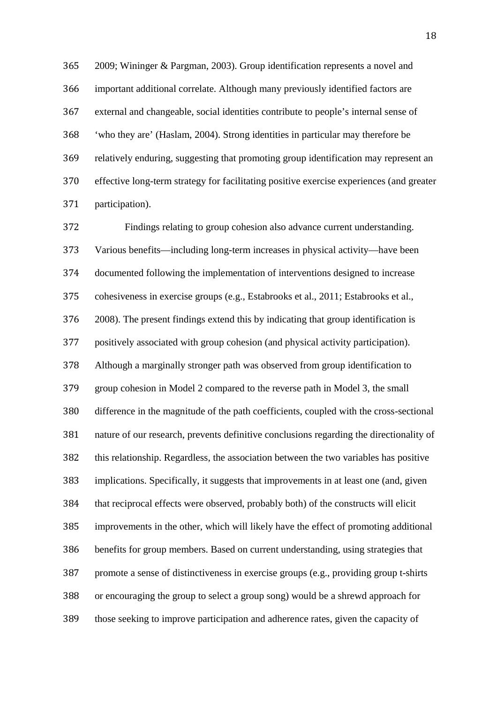2009; Wininger & Pargman, 2003). Group identification represents a novel and important additional correlate. Although many previously identified factors are external and changeable, social identities contribute to people's internal sense of 'who they are' (Haslam, 2004). Strong identities in particular may therefore be relatively enduring, suggesting that promoting group identification may represent an effective long-term strategy for facilitating positive exercise experiences (and greater participation).

 Findings relating to group cohesion also advance current understanding. Various benefits—including long-term increases in physical activity—have been documented following the implementation of interventions designed to increase cohesiveness in exercise groups (e.g., Estabrooks et al., 2011; Estabrooks et al., 2008). The present findings extend this by indicating that group identification is positively associated with group cohesion (and physical activity participation). Although a marginally stronger path was observed from group identification to group cohesion in Model 2 compared to the reverse path in Model 3, the small difference in the magnitude of the path coefficients, coupled with the cross-sectional nature of our research, prevents definitive conclusions regarding the directionality of this relationship. Regardless, the association between the two variables has positive implications. Specifically, it suggests that improvements in at least one (and, given that reciprocal effects were observed, probably both) of the constructs will elicit improvements in the other, which will likely have the effect of promoting additional benefits for group members. Based on current understanding, using strategies that promote a sense of distinctiveness in exercise groups (e.g., providing group t-shirts or encouraging the group to select a group song) would be a shrewd approach for those seeking to improve participation and adherence rates, given the capacity of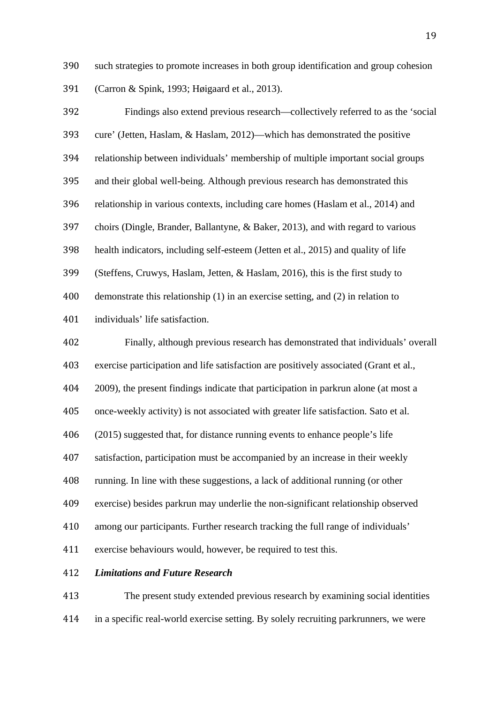such strategies to promote increases in both group identification and group cohesion (Carron & Spink, 1993; Høigaard et al., 2013).

 Findings also extend previous research—collectively referred to as the 'social cure' (Jetten, Haslam, & Haslam, 2012)—which has demonstrated the positive relationship between individuals' membership of multiple important social groups and their global well-being. Although previous research has demonstrated this relationship in various contexts, including care homes (Haslam et al., 2014) and choirs (Dingle, Brander, Ballantyne, & Baker, 2013), and with regard to various health indicators, including self-esteem (Jetten et al., 2015) and quality of life (Steffens, Cruwys, Haslam, Jetten, & Haslam, 2016), this is the first study to demonstrate this relationship (1) in an exercise setting, and (2) in relation to individuals' life satisfaction. Finally, although previous research has demonstrated that individuals' overall

exercise participation and life satisfaction are positively associated (Grant et al.,

2009), the present findings indicate that participation in parkrun alone (at most a

once-weekly activity) is not associated with greater life satisfaction. Sato et al.

(2015) suggested that, for distance running events to enhance people's life

satisfaction, participation must be accompanied by an increase in their weekly

- running. In line with these suggestions, a lack of additional running (or other
- exercise) besides parkrun may underlie the non-significant relationship observed

among our participants. Further research tracking the full range of individuals'

exercise behaviours would, however, be required to test this.

### *Limitations and Future Research*

 The present study extended previous research by examining social identities in a specific real-world exercise setting. By solely recruiting parkrunners, we were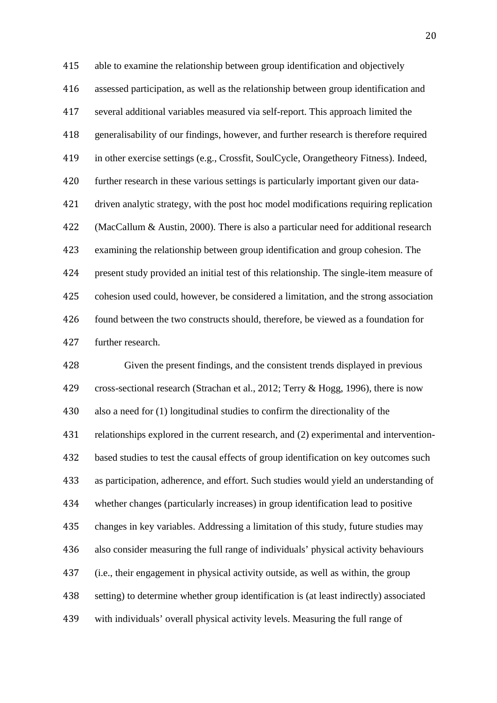able to examine the relationship between group identification and objectively assessed participation, as well as the relationship between group identification and several additional variables measured via self-report. This approach limited the generalisability of our findings, however, and further research is therefore required in other exercise settings (e.g., Crossfit, SoulCycle, Orangetheory Fitness). Indeed, further research in these various settings is particularly important given our data- driven analytic strategy, with the post hoc model modifications requiring replication (MacCallum & Austin, 2000). There is also a particular need for additional research examining the relationship between group identification and group cohesion. The present study provided an initial test of this relationship. The single-item measure of cohesion used could, however, be considered a limitation, and the strong association found between the two constructs should, therefore, be viewed as a foundation for further research.

 Given the present findings, and the consistent trends displayed in previous cross-sectional research (Strachan et al., 2012; Terry & Hogg, 1996), there is now also a need for (1) longitudinal studies to confirm the directionality of the relationships explored in the current research, and (2) experimental and intervention- based studies to test the causal effects of group identification on key outcomes such as participation, adherence, and effort. Such studies would yield an understanding of whether changes (particularly increases) in group identification lead to positive changes in key variables. Addressing a limitation of this study, future studies may also consider measuring the full range of individuals' physical activity behaviours (i.e., their engagement in physical activity outside, as well as within, the group setting) to determine whether group identification is (at least indirectly) associated with individuals' overall physical activity levels. Measuring the full range of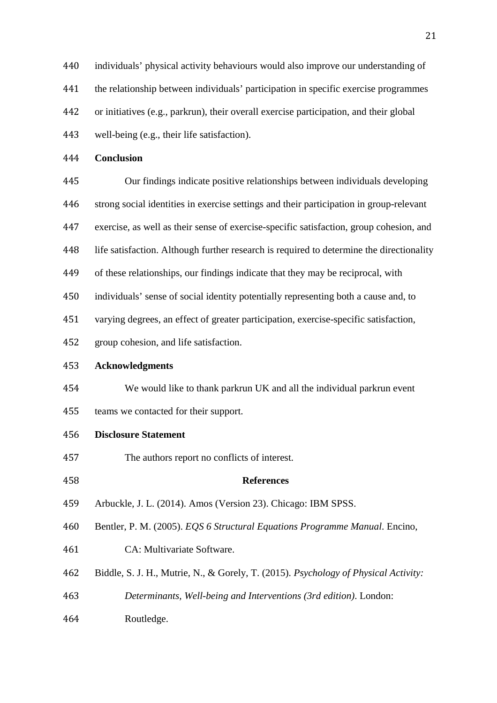individuals' physical activity behaviours would also improve our understanding of

the relationship between individuals' participation in specific exercise programmes

or initiatives (e.g., parkrun), their overall exercise participation, and their global

well-being (e.g., their life satisfaction).

**Conclusion**

- Our findings indicate positive relationships between individuals developing
- strong social identities in exercise settings and their participation in group-relevant

exercise, as well as their sense of exercise-specific satisfaction, group cohesion, and

- 448 life satisfaction. Although further research is required to determine the directionality
- of these relationships, our findings indicate that they may be reciprocal, with
- individuals' sense of social identity potentially representing both a cause and, to
- varying degrees, an effect of greater participation, exercise-specific satisfaction,
- group cohesion, and life satisfaction.

#### **Acknowledgments**

- We would like to thank parkrun UK and all the individual parkrun event
- teams we contacted for their support.

## **Disclosure Statement**

- The authors report no conflicts of interest.
- 

#### **References**

- Arbuckle, J. L. (2014). Amos (Version 23). Chicago: IBM SPSS.
- Bentler, P. M. (2005). *EQS 6 Structural Equations Programme Manual*. Encino,
- CA: Multivariate Software.
- Biddle, S. J. H., Mutrie, N., & Gorely, T. (2015). *Psychology of Physical Activity:*
- *Determinants, Well-being and Interventions (3rd edition)*. London:
- Routledge.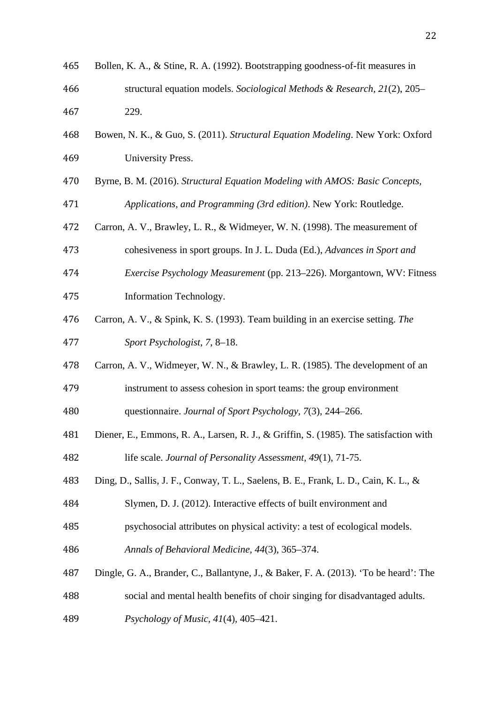- Bollen, K. A., & Stine, R. A. (1992). Bootstrapping goodness-of-fit measures in structural equation models. *Sociological Methods & Research, 21*(2), 205**–**
- 229.
- Bowen, N. K., & Guo, S. (2011). *Structural Equation Modeling*. New York: Oxford University Press.
- Byrne, B. M. (2016). *Structural Equation Modeling with AMOS: Basic Concepts,*
- *Applications, and Programming (3rd edition)*. New York: Routledge.
- Carron, A. V., Brawley, L. R., & Widmeyer, W. N. (1998). The measurement of
- cohesiveness in sport groups. In J. L. Duda (Ed.), *Advances in Sport and*
- *Exercise Psychology Measurement* (pp. 213**–**226). Morgantown, WV: Fitness Information Technology.
- Carron, A. V., & Spink, K. S. (1993). Team building in an exercise setting. *The Sport Psychologist, 7*, 8**–**18.
- Carron, A. V., Widmeyer, W. N., & Brawley, L. R. (1985). The development of an
- instrument to assess cohesion in sport teams: the group environment
- questionnaire. *Journal of Sport Psychology, 7*(3), 244**–**266.
- Diener, E., Emmons, R. A., Larsen, R. J., & Griffin, S. (1985). The satisfaction with life scale. *Journal of Personality Assessment, 49*(1), 71-75.
- Ding, D., Sallis, J. F., Conway, T. L., Saelens, B. E., Frank, L. D., Cain, K. L., &
- Slymen, D. J. (2012). Interactive effects of built environment and
- psychosocial attributes on physical activity: a test of ecological models.
- *Annals of Behavioral Medicine, 44*(3), 365**–**374.
- Dingle, G. A., Brander, C., Ballantyne, J., & Baker, F. A. (2013). 'To be heard': The
- social and mental health benefits of choir singing for disadvantaged adults.
- *Psychology of Music, 41*(4), 405**–**421.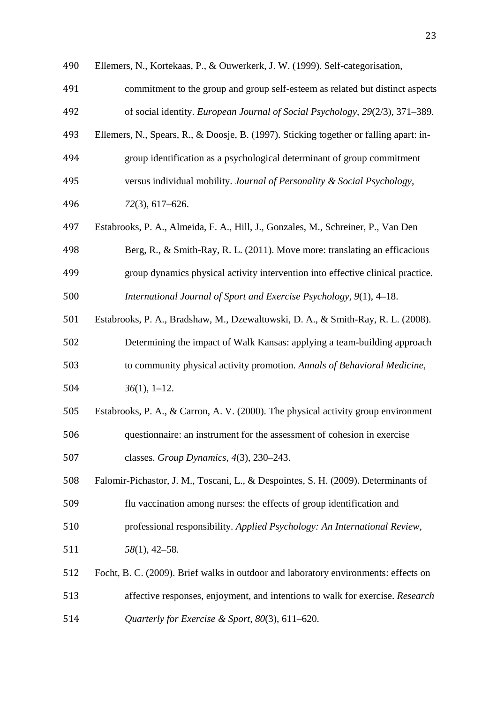| Ellemers, N., Kortekaas, P., & Ouwerkerk, J. W. (1999). Self-categorisation,           |
|----------------------------------------------------------------------------------------|
| commitment to the group and group self-esteem as related but distinct aspects          |
| of social identity. European Journal of Social Psychology, 29(2/3), 371-389.           |
| Ellemers, N., Spears, R., & Doosje, B. (1997). Sticking together or falling apart: in- |
| group identification as a psychological determinant of group commitment                |
| versus individual mobility. Journal of Personality & Social Psychology,                |
| 72(3), 617-626.                                                                        |
| Estabrooks, P. A., Almeida, F. A., Hill, J., Gonzales, M., Schreiner, P., Van Den      |
| Berg, R., & Smith-Ray, R. L. (2011). Move more: translating an efficacious             |
| group dynamics physical activity intervention into effective clinical practice.        |
| International Journal of Sport and Exercise Psychology, 9(1), 4-18.                    |
| Estabrooks, P. A., Bradshaw, M., Dzewaltowski, D. A., & Smith-Ray, R. L. (2008).       |
| Determining the impact of Walk Kansas: applying a team-building approach               |
| to community physical activity promotion. Annals of Behavioral Medicine,               |
| $36(1), 1-12.$                                                                         |
| Estabrooks, P. A., & Carron, A. V. (2000). The physical activity group environment     |
| questionnaire: an instrument for the assessment of cohesion in exercise                |
| classes. Group Dynamics, $4(3)$ , $230-243$ .                                          |
| Falomir-Pichastor, J. M., Toscani, L., & Despointes, S. H. (2009). Determinants of     |
| flu vaccination among nurses: the effects of group identification and                  |
| professional responsibility. Applied Psychology: An International Review,              |
| $58(1)$ , 42-58.                                                                       |
| Focht, B. C. (2009). Brief walks in outdoor and laboratory environments: effects on    |
| affective responses, enjoyment, and intentions to walk for exercise. Research          |
| Quarterly for Exercise & Sport, $80(3)$ , 611–620.                                     |
|                                                                                        |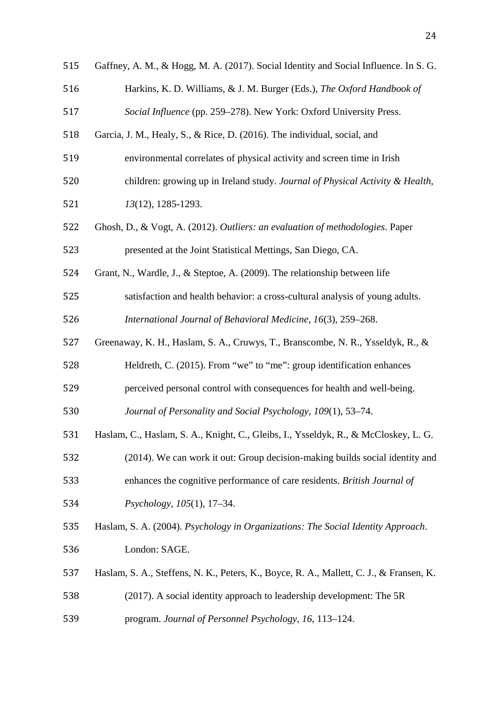| 515 | Gaffney, A. M., & Hogg, M. A. (2017). Social Identity and Social Influence. In S. G.    |
|-----|-----------------------------------------------------------------------------------------|
| 516 | Harkins, K. D. Williams, & J. M. Burger (Eds.), The Oxford Handbook of                  |
| 517 | Social Influence (pp. 259–278). New York: Oxford University Press.                      |
| 518 | Garcia, J. M., Healy, S., & Rice, D. (2016). The individual, social, and                |
| 519 | environmental correlates of physical activity and screen time in Irish                  |
| 520 | children: growing up in Ireland study. Journal of Physical Activity & Health,           |
| 521 | 13(12), 1285-1293.                                                                      |
| 522 | Ghosh, D., & Vogt, A. (2012). Outliers: an evaluation of methodologies. Paper           |
| 523 | presented at the Joint Statistical Mettings, San Diego, CA.                             |
| 524 | Grant, N., Wardle, J., & Steptoe, A. (2009). The relationship between life              |
| 525 | satisfaction and health behavior: a cross-cultural analysis of young adults.            |
| 526 | International Journal of Behavioral Medicine, 16(3), 259-268.                           |
| 527 | Greenaway, K. H., Haslam, S. A., Cruwys, T., Branscombe, N. R., Ysseldyk, R., &         |
| 528 | Heldreth, C. (2015). From "we" to "me": group identification enhances                   |
| 529 | perceived personal control with consequences for health and well-being.                 |
| 530 | Journal of Personality and Social Psychology, 109(1), 53-74.                            |
| 531 | Haslam, C., Haslam, S. A., Knight, C., Gleibs, I., Ysseldyk, R., & McCloskey, L. G.     |
| 532 | (2014). We can work it out: Group decision-making builds social identity and            |
| 533 | enhances the cognitive performance of care residents. British Journal of                |
| 534 | Psychology, 105(1), 17–34.                                                              |
| 535 | Haslam, S. A. (2004). Psychology in Organizations: The Social Identity Approach.        |
| 536 | London: SAGE.                                                                           |
| 537 | Haslam, S. A., Steffens, N. K., Peters, K., Boyce, R. A., Mallett, C. J., & Fransen, K. |
| 538 | (2017). A social identity approach to leadership development: The 5R                    |
| 539 | program. Journal of Personnel Psychology, 16, 113-124.                                  |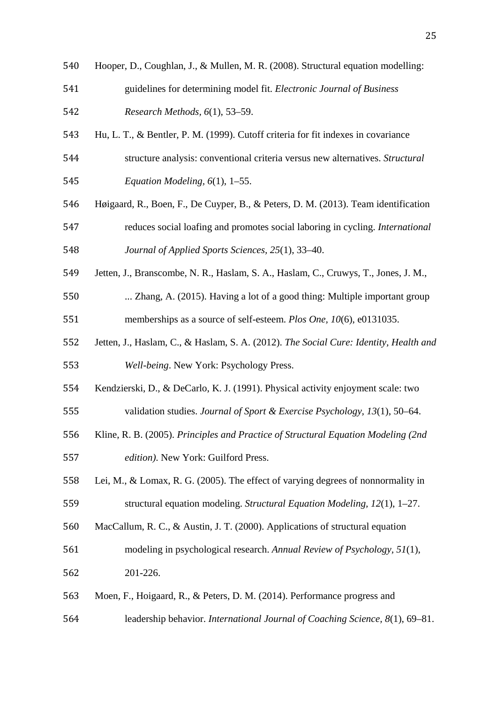Hooper, D., Coughlan, J., & Mullen, M. R. (2008). Structural equation modelling: guidelines for determining model fit. *Electronic Journal of Business Research Methods, 6*(1), 53**–**59. Hu, L. T., & Bentler, P. M. (1999). Cutoff criteria for fit indexes in covariance structure analysis: conventional criteria versus new alternatives. *Structural Equation Modeling, 6*(1), 1**–**55. Høigaard, R., Boen, F., De Cuyper, B., & Peters, D. M. (2013). Team identification reduces social loafing and promotes social laboring in cycling. *International Journal of Applied Sports Sciences, 25*(1), 33**–**40. Jetten, J., Branscombe, N. R., Haslam, S. A., Haslam, C., Cruwys, T., Jones, J. M., ... Zhang, A. (2015). Having a lot of a good thing: Multiple important group memberships as a source of self-esteem. *Plos One, 10*(6), e0131035. Jetten, J., Haslam, C., & Haslam, S. A. (2012). *The Social Cure: Identity, Health and Well-being*. New York: Psychology Press. Kendzierski, D., & DeCarlo, K. J. (1991). Physical activity enjoyment scale: two validation studies. *Journal of Sport & Exercise Psychology, 13*(1), 50**–**64. Kline, R. B. (2005). *Principles and Practice of Structural Equation Modeling (2nd edition)*. New York: Guilford Press. Lei, M., & Lomax, R. G. (2005). The effect of varying degrees of nonnormality in structural equation modeling. *Structural Equation Modeling, 12*(1), 1**–**27. MacCallum, R. C., & Austin, J. T. (2000). Applications of structural equation modeling in psychological research. *Annual Review of Psychology, 51*(1), 201-226. Moen, F., Hoigaard, R., & Peters, D. M. (2014). Performance progress and leadership behavior. *International Journal of Coaching Science, 8*(1), 69**–**81.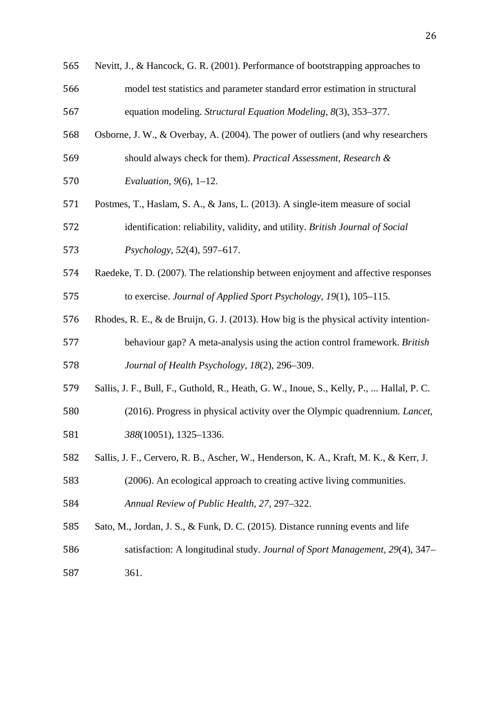| 565 | Nevitt, J., & Hancock, G. R. (2001). Performance of bootstrapping approaches to          |
|-----|------------------------------------------------------------------------------------------|
| 566 | model test statistics and parameter standard error estimation in structural              |
| 567 | equation modeling. Structural Equation Modeling, 8(3), 353–377.                          |
| 568 | Osborne, J. W., & Overbay, A. (2004). The power of outliers (and why researchers         |
| 569 | should always check for them). Practical Assessment, Research &                          |
| 570 | Evaluation, $9(6)$ , 1-12.                                                               |
| 571 | Postmes, T., Haslam, S. A., & Jans, L. (2013). A single-item measure of social           |
| 572 | identification: reliability, validity, and utility. British Journal of Social            |
| 573 | Psychology, 52(4), 597-617.                                                              |
| 574 | Raedeke, T. D. (2007). The relationship between enjoyment and affective responses        |
| 575 | to exercise. Journal of Applied Sport Psychology, 19(1), 105–115.                        |
| 576 | Rhodes, R. E., & de Bruijn, G. J. (2013). How big is the physical activity intention-    |
| 577 | behaviour gap? A meta-analysis using the action control framework. British               |
| 578 | Journal of Health Psychology, 18(2), 296–309.                                            |
| 579 | Sallis, J. F., Bull, F., Guthold, R., Heath, G. W., Inoue, S., Kelly, P.,  Hallal, P. C. |
| 580 | (2016). Progress in physical activity over the Olympic quadrennium. Lancet,              |
| 581 | 388(10051), 1325-1336.                                                                   |
| 582 | Sallis, J. F., Cervero, R. B., Ascher, W., Henderson, K. A., Kraft, M. K., & Kerr, J.    |
| 583 | (2006). An ecological approach to creating active living communities.                    |
| 584 | Annual Review of Public Health, 27, 297-322.                                             |
| 585 | Sato, M., Jordan, J. S., & Funk, D. C. (2015). Distance running events and life          |
| 586 | satisfaction: A longitudinal study. Journal of Sport Management, 29(4), 347–             |
| 587 | 361.                                                                                     |
|     |                                                                                          |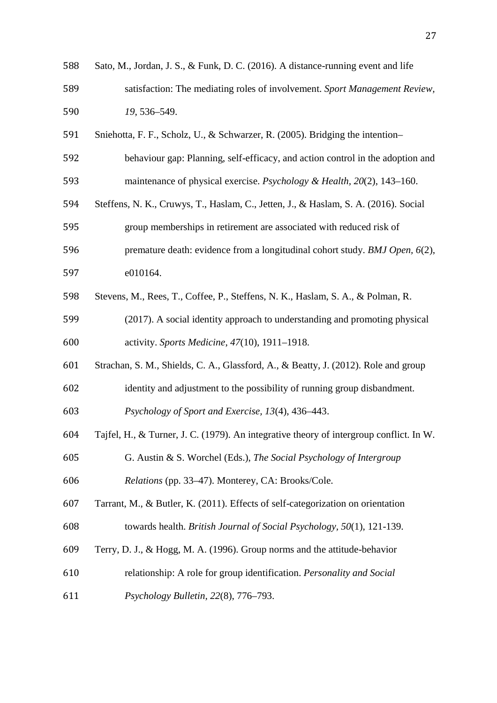| 588 | Sato, M., Jordan, J. S., & Funk, D. C. (2016). A distance-running event and life        |
|-----|-----------------------------------------------------------------------------------------|
| 589 | satisfaction: The mediating roles of involvement. Sport Management Review,              |
| 590 | 19, 536-549.                                                                            |
| 591 | Sniehotta, F. F., Scholz, U., & Schwarzer, R. (2005). Bridging the intention-           |
| 592 | behaviour gap: Planning, self-efficacy, and action control in the adoption and          |
| 593 | maintenance of physical exercise. Psychology & Health, 20(2), 143-160.                  |
| 594 | Steffens, N. K., Cruwys, T., Haslam, C., Jetten, J., & Haslam, S. A. (2016). Social     |
| 595 | group memberships in retirement are associated with reduced risk of                     |
| 596 | premature death: evidence from a longitudinal cohort study. BMJ Open, 6(2),             |
| 597 | e010164.                                                                                |
| 598 | Stevens, M., Rees, T., Coffee, P., Steffens, N. K., Haslam, S. A., & Polman, R.         |
| 599 | (2017). A social identity approach to understanding and promoting physical              |
| 600 | activity. Sports Medicine, 47(10), 1911-1918.                                           |
| 601 | Strachan, S. M., Shields, C. A., Glassford, A., & Beatty, J. (2012). Role and group     |
| 602 | identity and adjustment to the possibility of running group disbandment.                |
| 603 | Psychology of Sport and Exercise, 13(4), 436-443.                                       |
| 604 | Tajfel, H., & Turner, J. C. (1979). An integrative theory of intergroup conflict. In W. |
| 605 | G. Austin & S. Worchel (Eds.), The Social Psychology of Intergroup                      |
| 606 | <i>Relations</i> (pp. 33–47). Monterey, CA: Brooks/Cole.                                |
| 607 | Tarrant, M., & Butler, K. (2011). Effects of self-categorization on orientation         |
| 608 | towards health. British Journal of Social Psychology, 50(1), 121-139.                   |
| 609 | Terry, D. J., & Hogg, M. A. (1996). Group norms and the attitude-behavior               |
| 610 | relationship: A role for group identification. Personality and Social                   |
| 611 | Psychology Bulletin, 22(8), 776-793.                                                    |
|     |                                                                                         |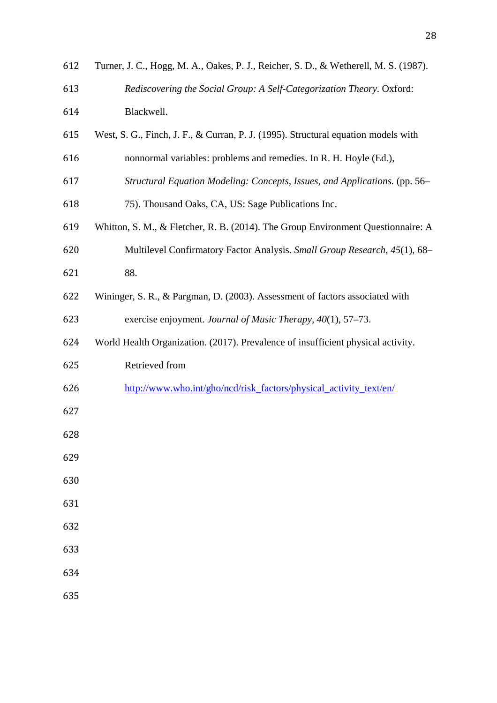| 612 | Turner, J. C., Hogg, M. A., Oakes, P. J., Reicher, S. D., & Wetherell, M. S. (1987). |
|-----|--------------------------------------------------------------------------------------|
| 613 | Rediscovering the Social Group: A Self-Categorization Theory. Oxford:                |
| 614 | Blackwell.                                                                           |
| 615 | West, S. G., Finch, J. F., & Curran, P. J. (1995). Structural equation models with   |
| 616 | nonnormal variables: problems and remedies. In R. H. Hoyle (Ed.),                    |
| 617 | Structural Equation Modeling: Concepts, Issues, and Applications. (pp. 56–           |
| 618 | 75). Thousand Oaks, CA, US: Sage Publications Inc.                                   |
| 619 | Whitton, S. M., & Fletcher, R. B. (2014). The Group Environment Questionnaire: A     |
| 620 | Multilevel Confirmatory Factor Analysis. Small Group Research, 45(1), 68-            |
| 621 | 88.                                                                                  |
| 622 | Wininger, S. R., & Pargman, D. (2003). Assessment of factors associated with         |
| 623 | exercise enjoyment. Journal of Music Therapy, 40(1), 57–73.                          |
| 624 | World Health Organization. (2017). Prevalence of insufficient physical activity.     |
| 625 | Retrieved from                                                                       |
| 626 | http://www.who.int/gho/ncd/risk_factors/physical_activity_text/en/                   |
| 627 |                                                                                      |
| 628 |                                                                                      |
| 629 |                                                                                      |
| 630 |                                                                                      |
| 631 |                                                                                      |
| 632 |                                                                                      |
| 633 |                                                                                      |
| 634 |                                                                                      |
| 635 |                                                                                      |
|     |                                                                                      |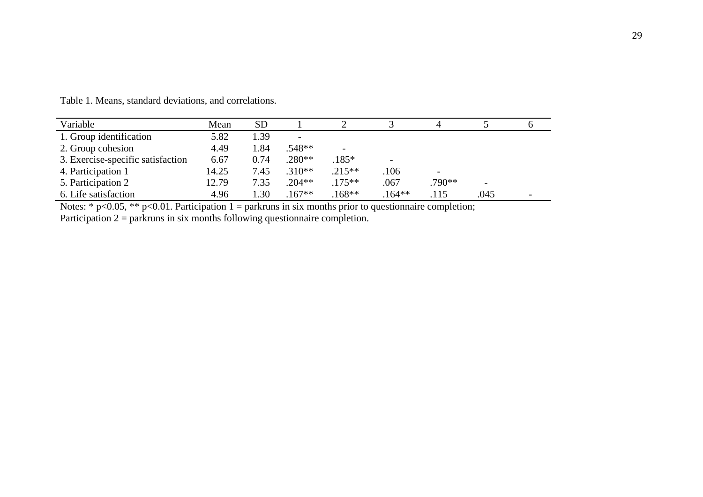| Variable                          | Mean  | <b>SD</b> |                          |                          |                          |        |                          |                          |
|-----------------------------------|-------|-----------|--------------------------|--------------------------|--------------------------|--------|--------------------------|--------------------------|
| 1. Group identification           | 5.82  | 1.39      | $\overline{\phantom{0}}$ |                          |                          |        |                          |                          |
| 2. Group cohesion                 | 4.49  | 1.84      | $.548**$                 | $\overline{\phantom{0}}$ |                          |        |                          |                          |
| 3. Exercise-specific satisfaction | 6.67  | 0.74      | $.280**$                 | $.185*$                  | $\overline{\phantom{a}}$ |        |                          |                          |
| 4. Participation 1                | 14.25 | 7.45      | $.310**$                 | $.215**$                 | .106                     |        |                          |                          |
| 5. Participation 2                | 12.79 | 7.35      | $.204**$                 | $175***$                 | .067                     | .790** | $\overline{\phantom{0}}$ |                          |
| 6. Life satisfaction              | 4.96  | 1.30      | $.167**$                 | $168**$                  | $.164***$                | 115    | .045                     | $\overline{\phantom{a}}$ |

Table 1. Means, standard deviations, and correlations.

Notes:  $* p<0.05$ ,  $** p<0.01$ . Participation 1 = parkruns in six months prior to questionnaire completion;

Participation 2 = parkruns in six months following questionnaire completion.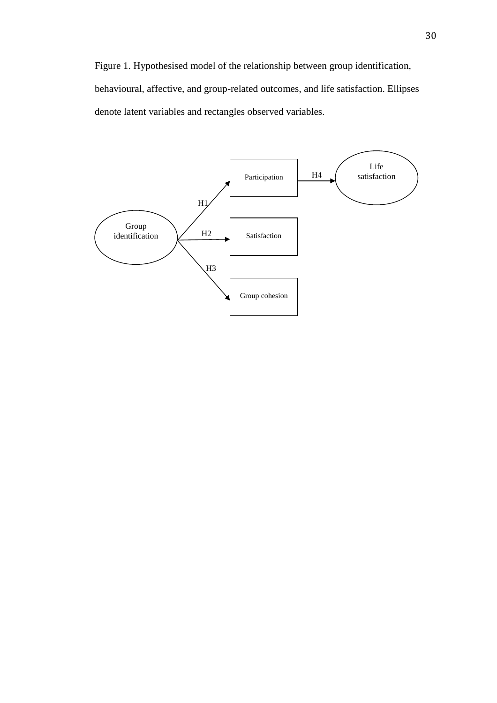Figure 1. Hypothesised model of the relationship between group identification, behavioural, affective, and group-related outcomes, and life satisfaction. Ellipses denote latent variables and rectangles observed variables.